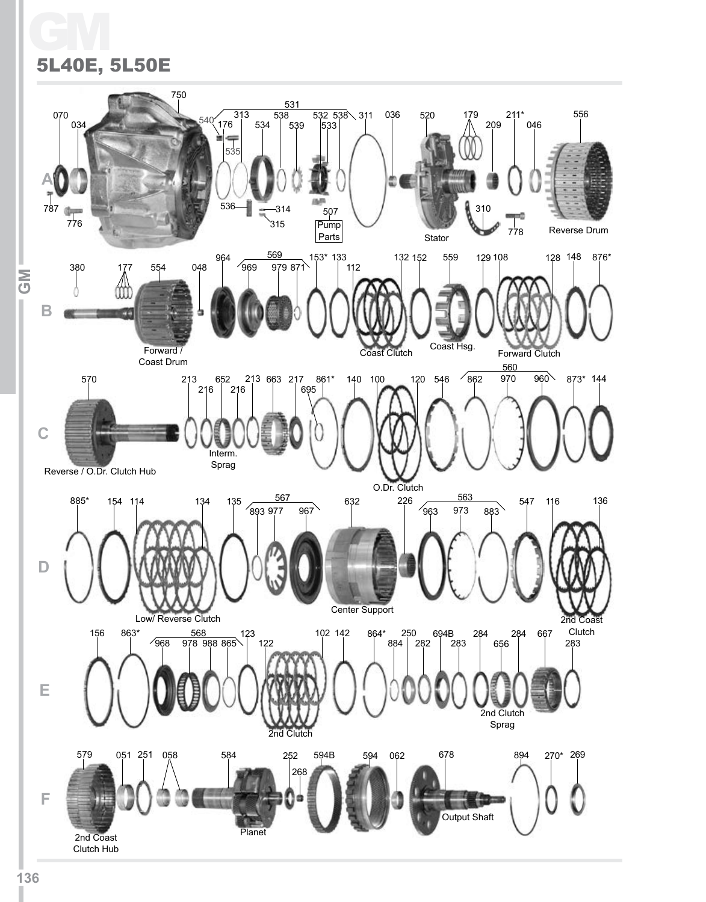# GM 5L40E, 5L50E

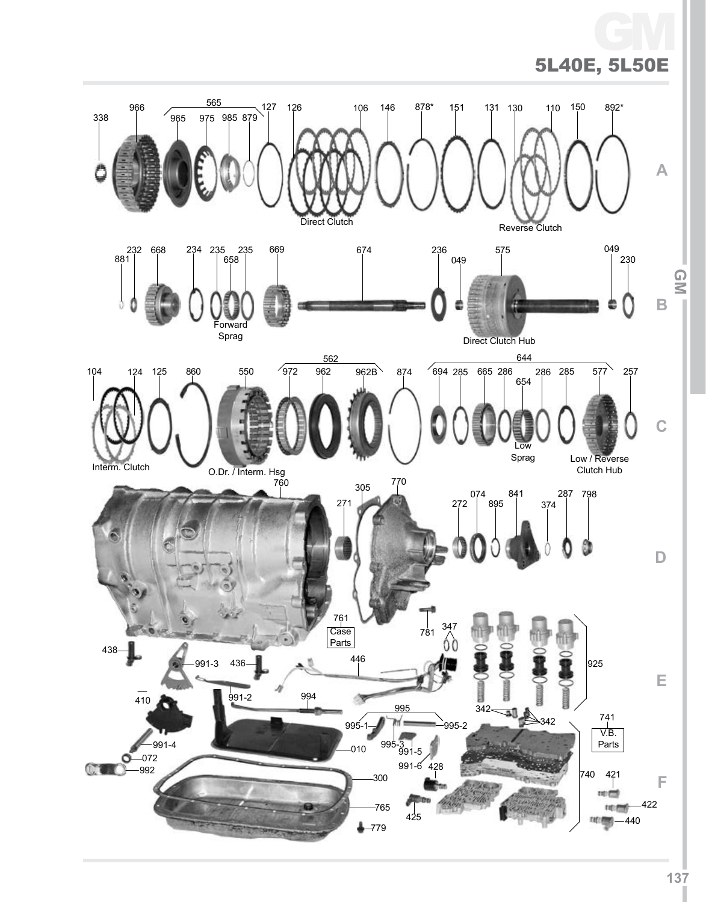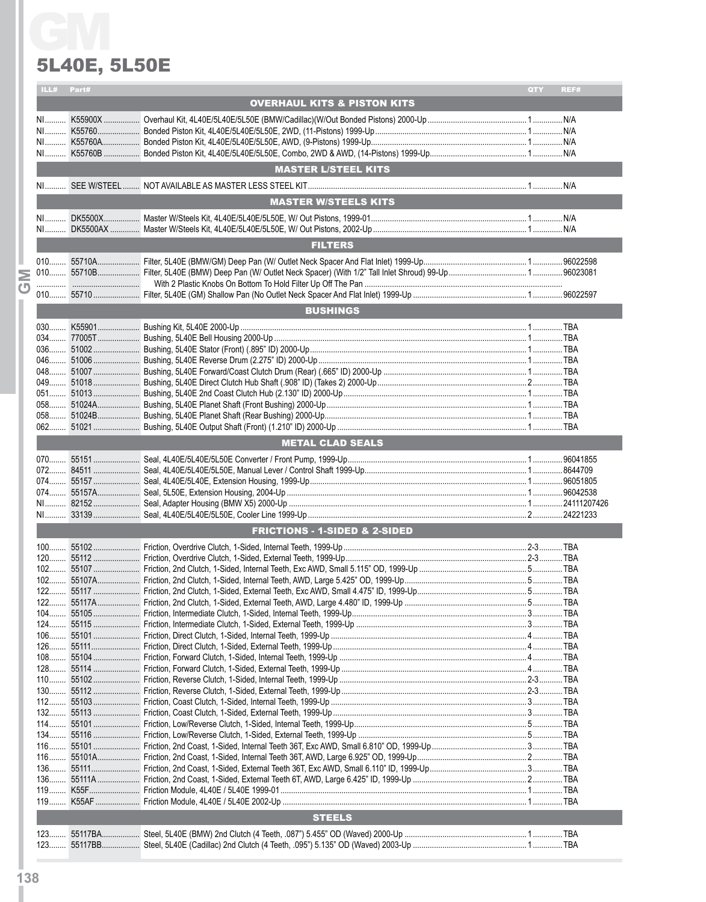### 5L40E, 5L50E

| Part#<br>ILL#<br>QTY<br>REF#<br><b>OVERHAUL KITS &amp; PISTON KITS</b><br><b>MASTER L/STEEL KITS</b><br><b>MASTER W/STEELS KITS</b><br><b>FILTERS</b><br><b>BUSHINGS</b><br><b>METAL CLAD SEALS</b><br><b>FRICTIONS - 1-SIDED &amp; 2-SIDED</b><br>$100$<br><b>STEELS</b> | <b>5L40E, 5L50E</b> |  |
|---------------------------------------------------------------------------------------------------------------------------------------------------------------------------------------------------------------------------------------------------------------------------|---------------------|--|
|                                                                                                                                                                                                                                                                           |                     |  |
|                                                                                                                                                                                                                                                                           |                     |  |
|                                                                                                                                                                                                                                                                           |                     |  |
|                                                                                                                                                                                                                                                                           |                     |  |
|                                                                                                                                                                                                                                                                           |                     |  |
|                                                                                                                                                                                                                                                                           |                     |  |
|                                                                                                                                                                                                                                                                           |                     |  |
|                                                                                                                                                                                                                                                                           |                     |  |
|                                                                                                                                                                                                                                                                           |                     |  |
|                                                                                                                                                                                                                                                                           |                     |  |
|                                                                                                                                                                                                                                                                           |                     |  |
|                                                                                                                                                                                                                                                                           |                     |  |
|                                                                                                                                                                                                                                                                           |                     |  |
|                                                                                                                                                                                                                                                                           |                     |  |
|                                                                                                                                                                                                                                                                           |                     |  |
|                                                                                                                                                                                                                                                                           |                     |  |
|                                                                                                                                                                                                                                                                           |                     |  |
|                                                                                                                                                                                                                                                                           |                     |  |
|                                                                                                                                                                                                                                                                           |                     |  |
|                                                                                                                                                                                                                                                                           |                     |  |
|                                                                                                                                                                                                                                                                           |                     |  |
|                                                                                                                                                                                                                                                                           |                     |  |
|                                                                                                                                                                                                                                                                           |                     |  |
|                                                                                                                                                                                                                                                                           |                     |  |
|                                                                                                                                                                                                                                                                           |                     |  |
|                                                                                                                                                                                                                                                                           |                     |  |
|                                                                                                                                                                                                                                                                           |                     |  |
|                                                                                                                                                                                                                                                                           |                     |  |
|                                                                                                                                                                                                                                                                           |                     |  |
|                                                                                                                                                                                                                                                                           |                     |  |
|                                                                                                                                                                                                                                                                           |                     |  |
|                                                                                                                                                                                                                                                                           |                     |  |
|                                                                                                                                                                                                                                                                           |                     |  |
|                                                                                                                                                                                                                                                                           |                     |  |
|                                                                                                                                                                                                                                                                           |                     |  |
|                                                                                                                                                                                                                                                                           |                     |  |
|                                                                                                                                                                                                                                                                           |                     |  |
|                                                                                                                                                                                                                                                                           |                     |  |
|                                                                                                                                                                                                                                                                           |                     |  |
|                                                                                                                                                                                                                                                                           |                     |  |
|                                                                                                                                                                                                                                                                           |                     |  |
|                                                                                                                                                                                                                                                                           |                     |  |
|                                                                                                                                                                                                                                                                           |                     |  |
|                                                                                                                                                                                                                                                                           |                     |  |
|                                                                                                                                                                                                                                                                           |                     |  |
|                                                                                                                                                                                                                                                                           |                     |  |
|                                                                                                                                                                                                                                                                           |                     |  |
|                                                                                                                                                                                                                                                                           |                     |  |
|                                                                                                                                                                                                                                                                           |                     |  |
|                                                                                                                                                                                                                                                                           |                     |  |
|                                                                                                                                                                                                                                                                           |                     |  |
|                                                                                                                                                                                                                                                                           |                     |  |
|                                                                                                                                                                                                                                                                           |                     |  |
|                                                                                                                                                                                                                                                                           |                     |  |
|                                                                                                                                                                                                                                                                           |                     |  |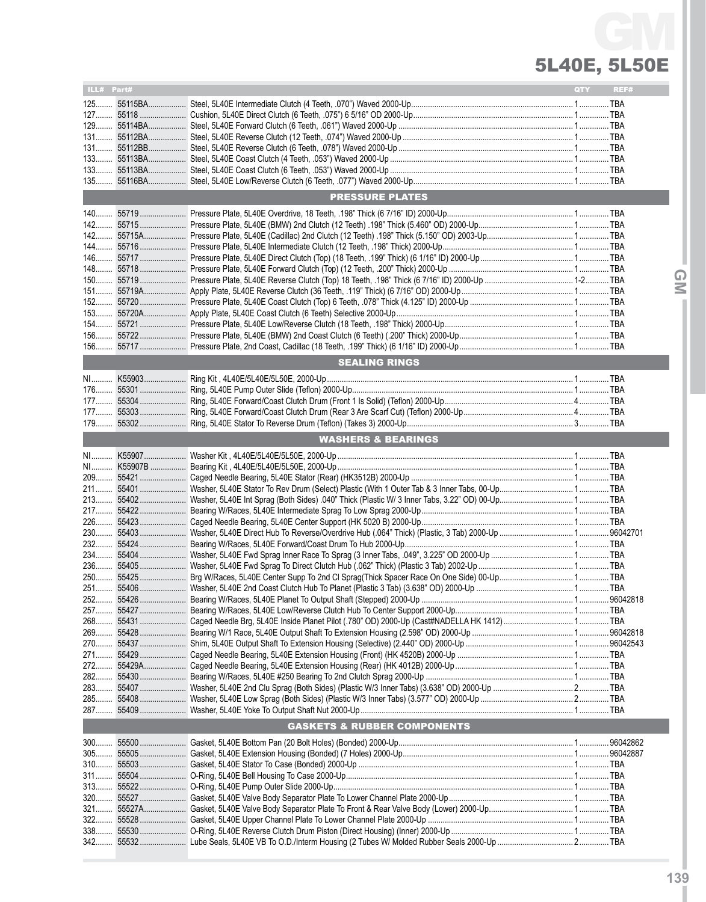# 5L40E, 5L50E GM

| ILL# Part# |           |                                        | QTY | REF# |
|------------|-----------|----------------------------------------|-----|------|
|            |           |                                        |     |      |
|            |           |                                        |     |      |
|            |           |                                        |     |      |
| $129$      |           |                                        |     |      |
|            |           |                                        |     |      |
|            |           |                                        |     |      |
|            |           |                                        |     |      |
|            |           |                                        |     |      |
|            |           |                                        |     |      |
|            |           |                                        |     |      |
|            |           | <b>PRESSURE PLATES</b>                 |     |      |
|            |           |                                        |     |      |
|            |           |                                        |     |      |
|            |           |                                        |     |      |
|            |           |                                        |     |      |
|            |           |                                        |     |      |
|            |           |                                        |     |      |
|            |           |                                        |     |      |
|            |           |                                        |     |      |
|            |           |                                        |     |      |
|            |           |                                        |     |      |
|            |           |                                        |     |      |
|            |           |                                        |     |      |
|            |           |                                        |     |      |
|            |           |                                        |     |      |
|            |           | <b>SEALING RINGS</b>                   |     |      |
|            |           |                                        |     |      |
|            |           |                                        |     |      |
|            |           |                                        |     |      |
|            |           |                                        |     |      |
|            |           |                                        |     |      |
|            |           |                                        |     |      |
|            |           | <b>WASHERS &amp; BEARINGS</b>          |     |      |
|            |           |                                        |     |      |
|            |           |                                        |     |      |
|            |           |                                        |     |      |
|            |           |                                        |     |      |
|            |           |                                        |     |      |
|            |           |                                        |     |      |
|            | 217 55422 |                                        |     |      |
|            |           |                                        |     |      |
|            |           |                                        |     |      |
|            |           |                                        |     |      |
|            |           |                                        |     |      |
|            |           |                                        |     |      |
|            |           |                                        |     |      |
|            |           |                                        |     |      |
|            |           |                                        |     |      |
|            |           |                                        |     |      |
|            |           |                                        |     |      |
|            |           |                                        |     |      |
|            |           |                                        |     |      |
|            |           |                                        |     |      |
|            |           |                                        |     |      |
|            |           |                                        |     |      |
|            |           |                                        |     |      |
|            |           |                                        |     |      |
|            |           |                                        |     |      |
|            |           |                                        |     |      |
|            |           |                                        |     |      |
|            |           | <b>GASKETS &amp; RUBBER COMPONENTS</b> |     |      |
|            |           |                                        |     |      |
|            |           |                                        |     |      |
|            |           |                                        |     |      |
|            |           |                                        |     |      |
|            |           |                                        |     |      |
|            |           |                                        |     |      |
|            |           |                                        |     |      |
|            |           |                                        |     |      |
|            |           |                                        |     |      |
|            |           |                                        |     |      |
|            |           |                                        |     |      |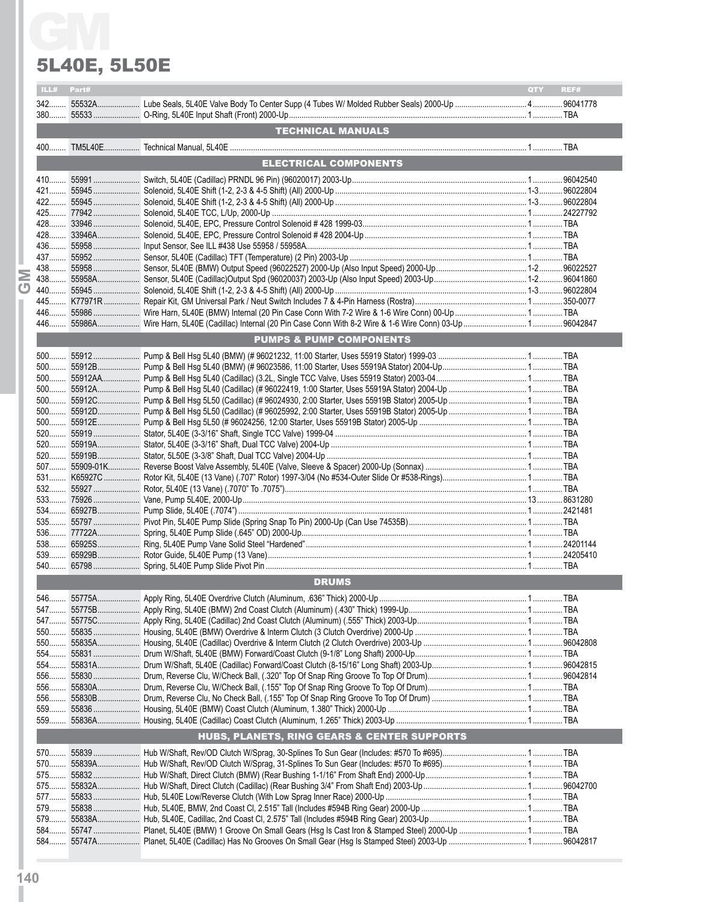### 5L40E, 5L50E

|      | <b>5L40E, 5L50E</b> |                                             |            |      |
|------|---------------------|---------------------------------------------|------------|------|
| ILL# | Part#               |                                             | <b>QTY</b> | REF# |
|      |                     |                                             |            |      |
|      |                     | <b>TECHNICAL MANUALS</b>                    |            |      |
|      |                     |                                             |            |      |
|      |                     | ELECTRICAL COMPONENTS                       |            |      |
|      |                     |                                             |            |      |
|      |                     |                                             |            |      |
|      |                     |                                             |            |      |
|      |                     |                                             |            |      |
|      |                     |                                             |            |      |
|      |                     |                                             |            |      |
|      |                     |                                             |            |      |
|      |                     |                                             |            |      |
|      |                     |                                             |            |      |
|      |                     |                                             |            |      |
|      |                     |                                             |            |      |
|      |                     |                                             |            |      |
|      |                     |                                             |            |      |
|      |                     | <b>PUMPS &amp; PUMP COMPONENTS</b>          |            |      |
|      |                     |                                             |            |      |
|      |                     |                                             |            |      |
|      |                     |                                             |            |      |
|      |                     |                                             |            |      |
|      |                     |                                             |            |      |
|      |                     |                                             |            |      |
|      |                     |                                             |            |      |
|      |                     |                                             |            |      |
|      |                     |                                             |            |      |
|      |                     |                                             |            |      |
|      |                     |                                             |            |      |
|      |                     |                                             |            |      |
|      |                     |                                             |            |      |
|      |                     |                                             |            |      |
|      |                     |                                             |            |      |
|      |                     |                                             |            |      |
|      |                     |                                             |            |      |
|      |                     |                                             |            |      |
|      |                     |                                             |            |      |
|      |                     | <b>DRUMS</b>                                |            |      |
|      |                     |                                             |            |      |
|      |                     |                                             |            |      |
|      |                     |                                             |            |      |
|      |                     |                                             |            |      |
|      |                     |                                             |            |      |
|      |                     |                                             |            |      |
|      |                     |                                             |            |      |
|      |                     |                                             |            |      |
|      |                     |                                             |            |      |
|      |                     |                                             |            |      |
|      |                     |                                             |            |      |
|      |                     | HUBS, PLANETS, RING GEARS & CENTER SUPPORTS |            |      |
|      |                     |                                             |            |      |
|      |                     |                                             |            |      |
|      |                     |                                             |            |      |
|      |                     |                                             |            |      |
|      |                     |                                             |            |      |
|      |                     |                                             |            |      |
|      |                     |                                             |            |      |
|      |                     |                                             |            |      |
|      |                     |                                             |            |      |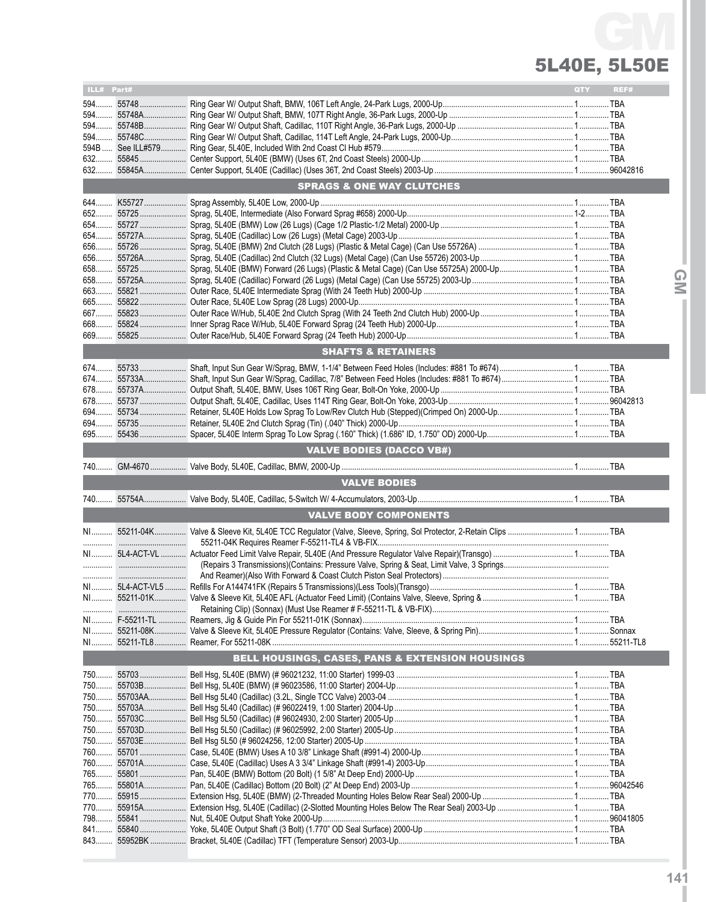# 5L40E, 5L50E GM

**IGMI**

| ILL# Part# |            |                                                 | QTY | REF# |
|------------|------------|-------------------------------------------------|-----|------|
|            |            |                                                 |     |      |
|            |            |                                                 |     |      |
|            |            |                                                 |     |      |
|            |            |                                                 |     |      |
|            |            |                                                 |     |      |
|            |            |                                                 |     |      |
|            |            |                                                 |     |      |
|            |            |                                                 |     |      |
|            |            | <b>SPRAGS &amp; ONE WAY CLUTCHES</b>            |     |      |
|            |            |                                                 |     |      |
|            |            |                                                 |     |      |
|            |            |                                                 |     |      |
|            |            |                                                 |     |      |
|            |            |                                                 |     |      |
|            |            |                                                 |     |      |
|            |            |                                                 |     |      |
|            |            |                                                 |     |      |
|            |            |                                                 |     |      |
| 665        |            |                                                 |     |      |
|            |            |                                                 |     |      |
|            |            |                                                 |     |      |
|            |            |                                                 |     |      |
|            |            | <b>SHAFTS &amp; RETAINERS</b>                   |     |      |
|            |            |                                                 |     |      |
|            |            |                                                 |     |      |
|            | 674 55733A |                                                 |     |      |
|            |            |                                                 |     |      |
|            |            |                                                 |     |      |
|            |            |                                                 |     |      |
|            |            |                                                 |     |      |
| 695        |            |                                                 |     |      |
|            |            | <b>VALVE BODIES (DACCO VB#)</b>                 |     |      |
|            |            |                                                 |     |      |
|            |            | <b>VALVE BODIES</b>                             |     |      |
|            |            |                                                 |     |      |
|            |            |                                                 |     |      |
|            |            | <b>VALVE BODY COMPONENTS</b>                    |     |      |
|            |            |                                                 |     |      |
|            |            |                                                 |     |      |
|            |            |                                                 |     |      |
|            |            |                                                 |     |      |
|            |            |                                                 |     |      |
|            |            |                                                 |     |      |
|            |            |                                                 |     |      |
|            |            |                                                 |     |      |
|            |            |                                                 |     |      |
|            |            |                                                 |     |      |
|            |            | BELL HOUSINGS, CASES, PANS & EXTENSION HOUSINGS |     |      |
|            |            |                                                 |     |      |
|            |            |                                                 |     |      |
|            |            |                                                 |     |      |
|            |            |                                                 |     |      |
|            |            |                                                 |     |      |
|            |            |                                                 |     |      |
|            |            |                                                 |     |      |
|            |            |                                                 |     |      |
|            |            |                                                 |     |      |
|            |            |                                                 |     |      |
|            |            |                                                 |     |      |
|            |            |                                                 |     |      |
|            |            |                                                 |     |      |
|            |            |                                                 |     |      |
|            |            |                                                 |     |      |
|            |            |                                                 |     |      |
|            |            |                                                 |     |      |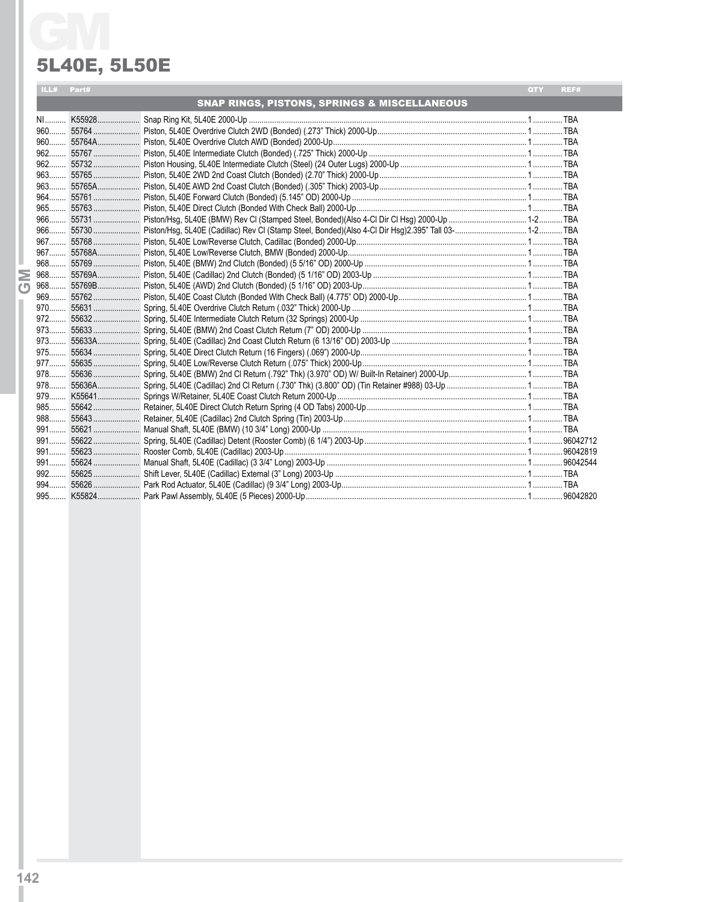#### 5L40E, 5L50E

| <b>5L40E, 5L50E</b><br>ILL# Part# |                                                         | QTY | REF# |
|-----------------------------------|---------------------------------------------------------|-----|------|
|                                   | <b>SNAP RINGS, PISTONS, SPRINGS &amp; MISCELLANEOUS</b> |     |      |
|                                   |                                                         |     |      |
|                                   |                                                         |     |      |
|                                   |                                                         |     |      |
|                                   |                                                         |     |      |
|                                   |                                                         |     |      |
|                                   |                                                         |     |      |
|                                   |                                                         |     |      |
|                                   |                                                         |     |      |
|                                   |                                                         |     |      |
|                                   |                                                         |     |      |
|                                   |                                                         |     |      |
|                                   |                                                         |     |      |
|                                   |                                                         |     |      |
|                                   |                                                         |     |      |
|                                   |                                                         |     |      |
|                                   |                                                         |     |      |
|                                   |                                                         |     |      |
|                                   |                                                         |     |      |
|                                   |                                                         |     |      |
|                                   |                                                         |     |      |
|                                   |                                                         |     |      |
|                                   |                                                         |     |      |
|                                   |                                                         |     |      |
|                                   |                                                         |     |      |
|                                   |                                                         |     |      |
|                                   |                                                         |     |      |
|                                   |                                                         |     |      |
|                                   |                                                         |     |      |
|                                   |                                                         |     |      |
|                                   |                                                         |     |      |
|                                   |                                                         |     |      |
|                                   |                                                         |     |      |
|                                   |                                                         |     |      |
|                                   |                                                         |     |      |
|                                   |                                                         |     |      |